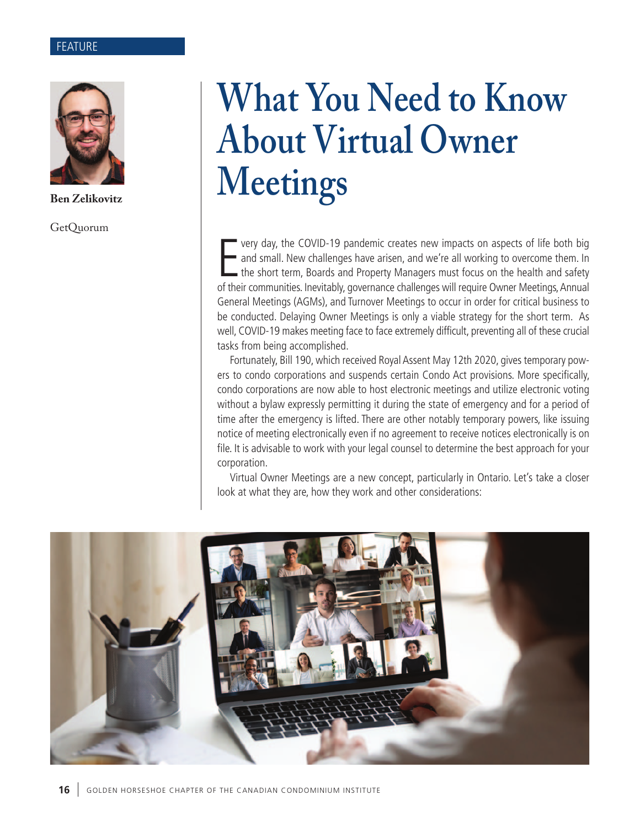#### FEATURE



**Ben Zelikovitz**

GetQuorum

# **What You Need to Know About Virtual Owner Meetings**

very day, the COVID-19 pandemic creates new impacts on aspects of life both big<br>and small. New challenges have arisen, and we're all working to overcome them. In<br>the short term, Boards and Property Managers must focus on t very day, the COVID-19 pandemic creates new impacts on aspects of life both big and small. New challenges have arisen, and we're all working to overcome them. In the short term, Boards and Property Managers must focus on the health and safety General Meetings (AGMs), and Turnover Meetings to occur in order for critical business to be conducted. Delaying Owner Meetings is only a viable strategy for the short term. As well, COVID-19 makes meeting face to face extremely difficult, preventing all of these crucial tasks from being accomplished.

Fortunately, Bill 190, which received Royal Assent May 12th 2020, gives temporary powers to condo corporations and suspends certain Condo Act provisions. More specifically, condo corporations are now able to host electronic meetings and utilize electronic voting without a bylaw expressly permitting it during the state of emergency and for a period of time after the emergency is lifted. There are other notably temporary powers, like issuing notice of meeting electronically even if no agreement to receive notices electronically is on file. It is advisable to work with your legal counsel to determine the best approach for your corporation.

Virtual Owner Meetings are a new concept, particularly in Ontario. Let's take a closer look at what they are, how they work and other considerations: